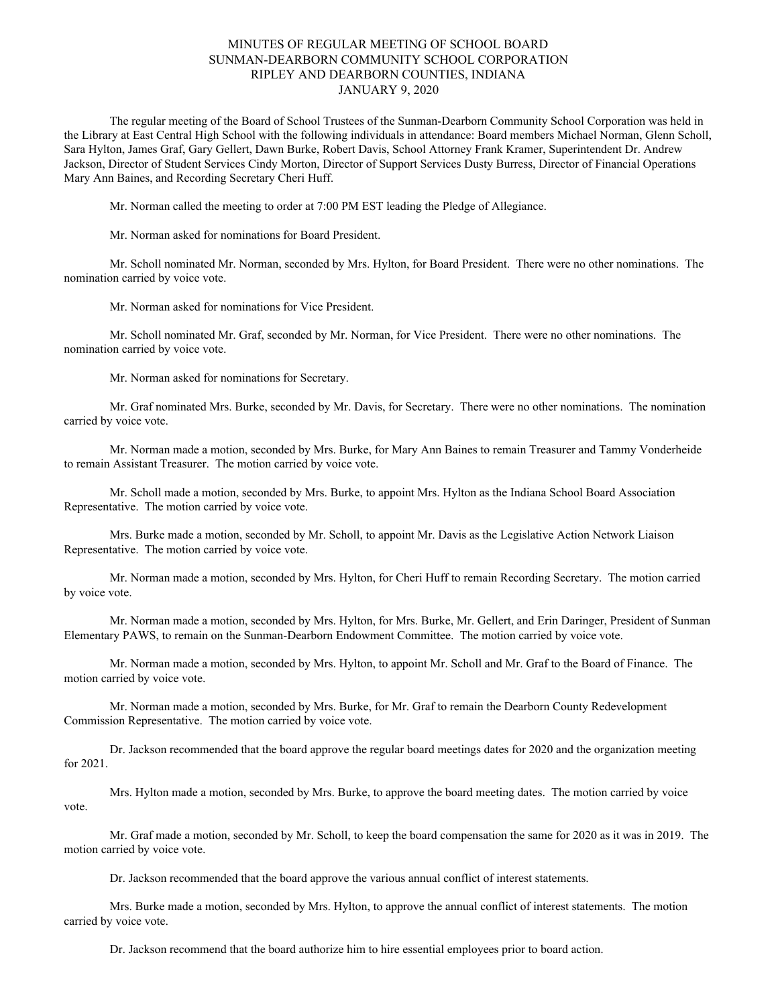## MINUTES OF REGULAR MEETING OF SCHOOL BOARD SUNMAN-DEARBORN COMMUNITY SCHOOL CORPORATION RIPLEY AND DEARBORN COUNTIES, INDIANA JANUARY 9, 2020

The regular meeting of the Board of School Trustees of the Sunman-Dearborn Community School Corporation was held in the Library at East Central High School with the following individuals in attendance: Board members Michael Norman, Glenn Scholl, Sara Hylton, James Graf, Gary Gellert, Dawn Burke, Robert Davis, School Attorney Frank Kramer, Superintendent Dr. Andrew Jackson, Director of Student Services Cindy Morton, Director of Support Services Dusty Burress, Director of Financial Operations Mary Ann Baines, and Recording Secretary Cheri Huff.

Mr. Norman called the meeting to order at 7:00 PM EST leading the Pledge of Allegiance.

Mr. Norman asked for nominations for Board President.

Mr. Scholl nominated Mr. Norman, seconded by Mrs. Hylton, for Board President. There were no other nominations. The nomination carried by voice vote.

Mr. Norman asked for nominations for Vice President.

Mr. Scholl nominated Mr. Graf, seconded by Mr. Norman, for Vice President. There were no other nominations. The nomination carried by voice vote.

Mr. Norman asked for nominations for Secretary.

Mr. Graf nominated Mrs. Burke, seconded by Mr. Davis, for Secretary. There were no other nominations. The nomination carried by voice vote.

Mr. Norman made a motion, seconded by Mrs. Burke, for Mary Ann Baines to remain Treasurer and Tammy Vonderheide to remain Assistant Treasurer. The motion carried by voice vote.

Mr. Scholl made a motion, seconded by Mrs. Burke, to appoint Mrs. Hylton as the Indiana School Board Association Representative. The motion carried by voice vote.

Mrs. Burke made a motion, seconded by Mr. Scholl, to appoint Mr. Davis as the Legislative Action Network Liaison Representative. The motion carried by voice vote.

Mr. Norman made a motion, seconded by Mrs. Hylton, for Cheri Huff to remain Recording Secretary. The motion carried by voice vote.

Mr. Norman made a motion, seconded by Mrs. Hylton, for Mrs. Burke, Mr. Gellert, and Erin Daringer, President of Sunman Elementary PAWS, to remain on the Sunman-Dearborn Endowment Committee. The motion carried by voice vote.

Mr. Norman made a motion, seconded by Mrs. Hylton, to appoint Mr. Scholl and Mr. Graf to the Board of Finance. The motion carried by voice vote.

Mr. Norman made a motion, seconded by Mrs. Burke, for Mr. Graf to remain the Dearborn County Redevelopment Commission Representative. The motion carried by voice vote.

Dr. Jackson recommended that the board approve the regular board meetings dates for 2020 and the organization meeting for 2021.

Mrs. Hylton made a motion, seconded by Mrs. Burke, to approve the board meeting dates. The motion carried by voice vote.

Mr. Graf made a motion, seconded by Mr. Scholl, to keep the board compensation the same for 2020 as it was in 2019. The motion carried by voice vote.

Dr. Jackson recommended that the board approve the various annual conflict of interest statements.

Mrs. Burke made a motion, seconded by Mrs. Hylton, to approve the annual conflict of interest statements. The motion carried by voice vote.

Dr. Jackson recommend that the board authorize him to hire essential employees prior to board action.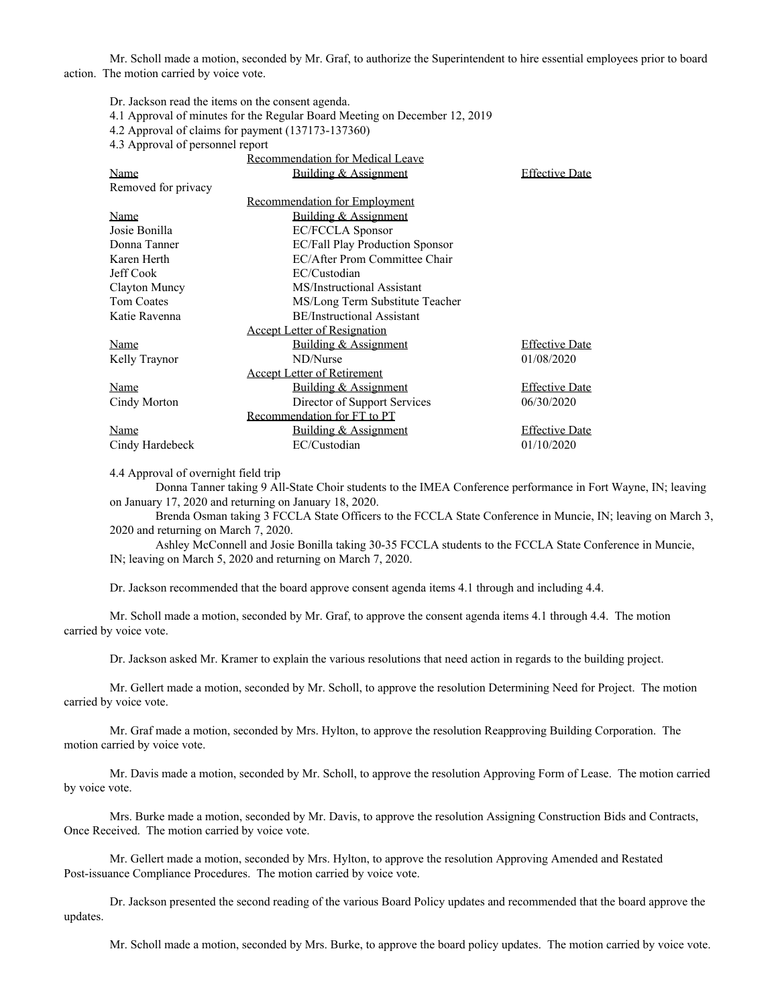Mr. Scholl made a motion, seconded by Mr. Graf, to authorize the Superintendent to hire essential employees prior to board action. The motion carried by voice vote.

Dr. Jackson read the items on the consent agenda.

- 4.1 Approval of minutes for the Regular Board Meeting on December 12, 2019
- 4.2 Approval of claims for payment (137173-137360)

4.3 Approval of personnel report

|                     | <b>Recommendation for Medical Leave</b> |                       |
|---------------------|-----------------------------------------|-----------------------|
| Name                | Building & Assignment                   | <b>Effective Date</b> |
| Removed for privacy |                                         |                       |
|                     | <b>Recommendation for Employment</b>    |                       |
| Name                | Building & Assignment                   |                       |
| Josie Bonilla       | <b>EC/FCCLA Sponsor</b>                 |                       |
| Donna Tanner        | EC/Fall Play Production Sponsor         |                       |
| Karen Herth         | EC/After Prom Committee Chair           |                       |
| Jeff Cook           | EC/Custodian                            |                       |
| Clayton Muncy       | MS/Instructional Assistant              |                       |
| Tom Coates          | MS/Long Term Substitute Teacher         |                       |
| Katie Ravenna       | <b>BE/Instructional Assistant</b>       |                       |
|                     | <b>Accept Letter of Resignation</b>     |                       |
| Name                | Building & Assignment                   | <b>Effective Date</b> |
| Kelly Traynor       | ND/Nurse                                | 01/08/2020            |
|                     | <b>Accept Letter of Retirement</b>      |                       |
| Name                | Building & Assignment                   | <b>Effective Date</b> |
| Cindy Morton        | Director of Support Services            | 06/30/2020            |
|                     | Recommendation for FT to PT             |                       |
| Name                | Building & Assignment                   | <b>Effective Date</b> |
| Cindy Hardebeck     | EC/Custodian                            | 01/10/2020            |

4.4 Approval of overnight field trip

Donna Tanner taking 9 All-State Choir students to the IMEA Conference performance in Fort Wayne, IN; leaving on January 17, 2020 and returning on January 18, 2020.

Brenda Osman taking 3 FCCLA State Officers to the FCCLA State Conference in Muncie, IN; leaving on March 3, 2020 and returning on March 7, 2020.

Ashley McConnell and Josie Bonilla taking 30-35 FCCLA students to the FCCLA State Conference in Muncie, IN; leaving on March 5, 2020 and returning on March 7, 2020.

Dr. Jackson recommended that the board approve consent agenda items 4.1 through and including 4.4.

Mr. Scholl made a motion, seconded by Mr. Graf, to approve the consent agenda items 4.1 through 4.4. The motion carried by voice vote.

Dr. Jackson asked Mr. Kramer to explain the various resolutions that need action in regards to the building project.

Mr. Gellert made a motion, seconded by Mr. Scholl, to approve the resolution Determining Need for Project. The motion carried by voice vote.

Mr. Graf made a motion, seconded by Mrs. Hylton, to approve the resolution Reapproving Building Corporation. The motion carried by voice vote.

Mr. Davis made a motion, seconded by Mr. Scholl, to approve the resolution Approving Form of Lease. The motion carried by voice vote.

Mrs. Burke made a motion, seconded by Mr. Davis, to approve the resolution Assigning Construction Bids and Contracts, Once Received. The motion carried by voice vote.

Mr. Gellert made a motion, seconded by Mrs. Hylton, to approve the resolution Approving Amended and Restated Post-issuance Compliance Procedures. The motion carried by voice vote.

Dr. Jackson presented the second reading of the various Board Policy updates and recommended that the board approve the updates.

Mr. Scholl made a motion, seconded by Mrs. Burke, to approve the board policy updates. The motion carried by voice vote.